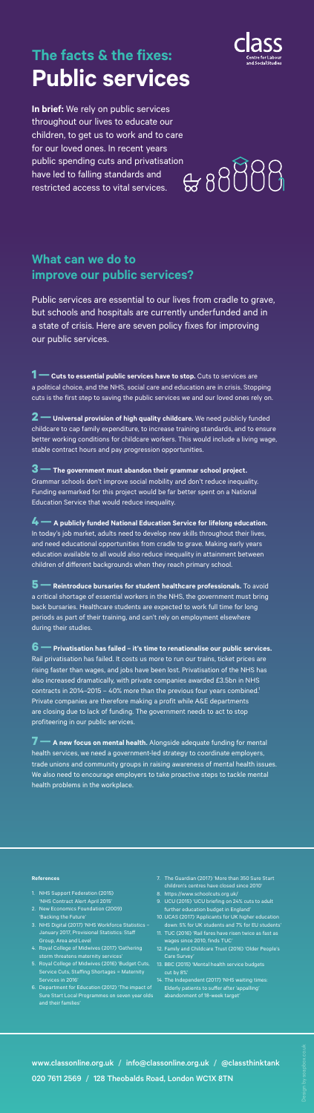**In brief:** We rely on public services throughout our lives to educate our children, to get us to work and to care for our loved ones. In recent years public spending cuts and privatisation<br>have led to falling standards and<br>restricted access to vital services. have led to falling standards and restricted access to vital services.

# **The facts & the fixes: Public services**



www.classonline.org.uk / info@classonline.org.uk / @classthinktank 020 7611 2569 / 128 Theobalds Road, London WC1X 8TN

## **What can we do to improve our public services?**

Public services are essential to our lives from cradle to grave, but schools and hospitals are currently underfunded and in a state of crisis. Here are seven policy fixes for improving our public services.

**1—Cuts to essential public services have to stop.** Cuts to services are a political choice, and the NHS, social care and education are in crisis. Stopping cuts is the first step to saving the public services we and our loved ones rely on.

**2—Universal provision of high quality childcare.** We need publicly funded childcare to cap family expenditure, to increase training standards, and to ensure better working conditions for childcare workers. This would include a living wage, stable contract hours and pay progression opportunities.

**5 —** Reintroduce bursaries for student healthcare professionals. To avoid a critical shortage of essential workers in the NHS, the government must bring back bursaries. Healthcare students are expected to work full time for long periods as part of their training, and can't rely on employment elsewhere during their studies.

**3—The government must abandon their grammar school project.**  Grammar schools don't improve social mobility and don't reduce inequality. Funding earmarked for this project would be far better spent on a National Education Service that would reduce inequality.

**4—A publicly funded National Education Service for lifelong education.**  In today's job market, adults need to develop new skills throughout their lives, and need educational opportunities from cradle to grave. Making early years education available to all would also reduce inequality in attainment between children of different backgrounds when they reach primary school.

**6—Privatisation has failed – it's time to renationalise our public services.**  Rail privatisation has failed. It costs us more to run our trains, ticket prices are rising faster than wages, and jobs have been lost. Privatisation of the NHS has

also increased dramatically, with private companies awarded £3.5bn in NHS contracts in 2014–2015 – 40% more than the previous four years combined.<sup>1</sup> Private companies are therefore making a profit while A&E departments are closing due to lack of funding. The government needs to act to stop profiteering in our public services.

**7—A new focus on mental health.** Alongside adequate funding for mental health services, we need a government-led strategy to coordinate employers, trade unions and community groups in raising awareness of mental health issues. We also need to encourage employers to take proactive steps to tackle mental health problems in the workplace.

## **References**

- 1. NHS Support Federation (2015) 'NHS Contract Alert April 2015'
- 2. New Economics Foundation (2009) 'Backing the Future'
- 3. NHS Digital (2017) 'NHS Workforce Statistics January 2017, Provisional Statistics: Staff Group, Area and Level
- 4. Royal College of Midwives (2017) 'Gathering storm threatens maternity services'
- 5. Royal College of Midwives (2016) 'Budget Cuts, Service Cuts, Staffing Shortages = Maternity Services in 2016'
- 6. Department for Education (2012) 'The impact of Sure Start Local Programmes on seven year olds and their families'
- 7. The Guardian (2017) 'More than 350 Sure Start children's centres have closed since 2010'
- 8. https://www.schoolcuts.org.uk/
- 9. UCU (2015) 'UCU briefing on 24% cuts to adult further education budget in England'
- 10. UCAS (2017) 'Applicants for UK higher education down: 5% for UK students and 7% for EU students'
- 11. TUC (2016) 'Rail fares have risen twice as fast as wages since 2010, finds TUC'
- 12. Family and Childcare Trust (2016) 'Older People's Care Survey'
- 13. BBC (2015) 'Mental health service budgets cut by 8%'
- 14. The Independent (2017) 'NHS waiting times: Elderly patients to suffer after 'appalling' abandonment of 18-week target'